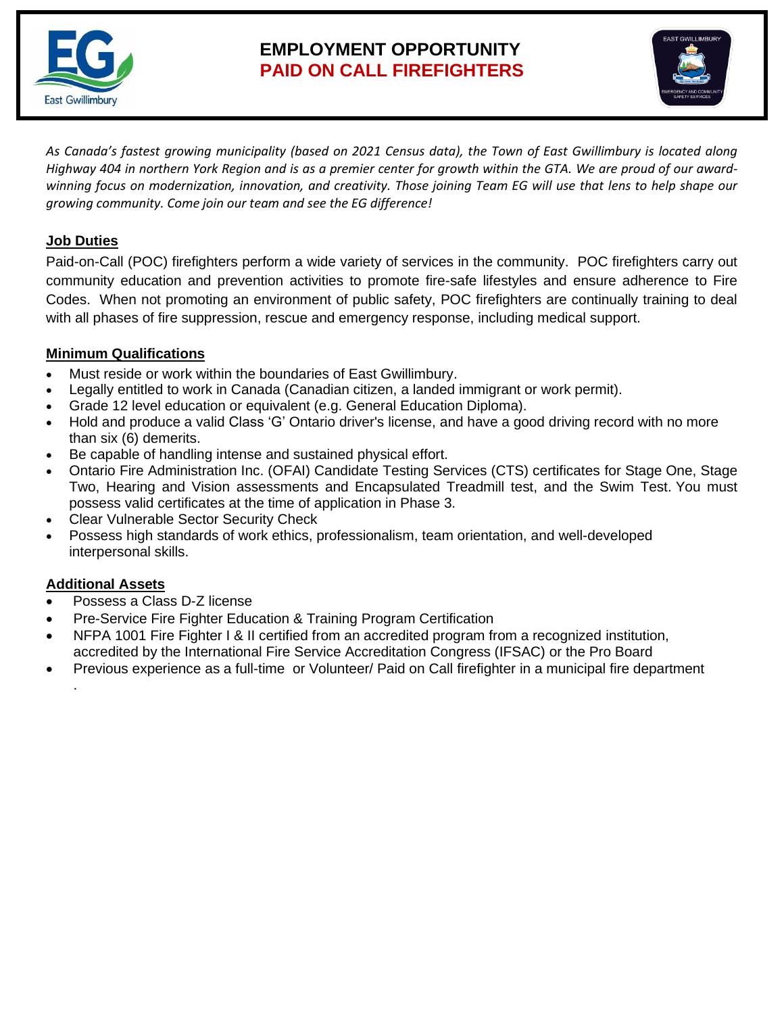

# **EMPLOYMENT OPPORTUNITY PAID ON CALL FIREFIGHTERS**



*As Canada's fastest growing municipality (based on 2021 Census data), the Town of East Gwillimbury is located along Highway 404 in northern York Region and is as a premier center for growth within the GTA. We are proud of our awardwinning focus on modernization, innovation, and creativity. Those joining Team EG will use that lens to help shape our growing community. Come join our team and see the EG difference!* 

## **Job Duties**

Paid-on-Call (POC) firefighters perform a wide variety of services in the community. POC firefighters carry out community education and prevention activities to promote fire-safe lifestyles and ensure adherence to Fire Codes. When not promoting an environment of public safety, POC firefighters are continually training to deal with all phases of fire suppression, rescue and emergency response, including medical support.

## **Minimum Qualifications**

- Must reside or work within the boundaries of East Gwillimbury.
- Legally entitled to work in Canada (Canadian citizen, a landed immigrant or work permit).
- Grade 12 level education or equivalent (e.g. General Education Diploma).
- Hold and produce a valid Class 'G' Ontario driver's license, and have a good driving record with no more than six (6) demerits.
- Be capable of handling intense and sustained physical effort.
- Ontario Fire Administration Inc. (OFAI) Candidate Testing Services (CTS) certificates for Stage One, Stage Two, Hearing and Vision assessments and Encapsulated Treadmill test, and the Swim Test. You must possess valid certificates at the time of application in Phase 3.
- Clear Vulnerable Sector Security Check
- Possess high standards of work ethics, professionalism, team orientation, and well-developed interpersonal skills.

## **Additional Assets**

.

- Possess a Class D-Z license
- Pre-Service Fire Fighter Education & Training Program Certification
- NFPA 1001 Fire Fighter I & II certified from an accredited program from a recognized institution, accredited by the International Fire Service Accreditation Congress (IFSAC) or the Pro Board
- Previous experience as a full-time or Volunteer/ Paid on Call firefighter in a municipal fire department